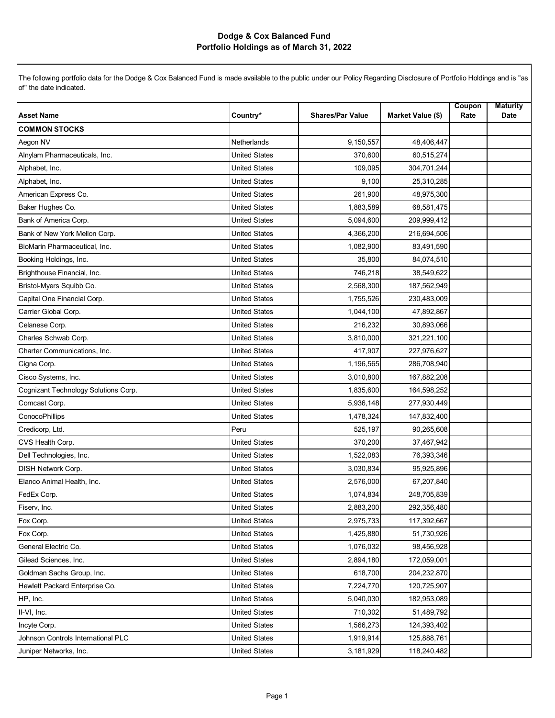| <b>Asset Name</b>                    | Country*             | <b>Shares/Par Value</b> | Market Value (\$) | Coupon<br>Rate | <b>Maturity</b><br>Date |
|--------------------------------------|----------------------|-------------------------|-------------------|----------------|-------------------------|
| <b>COMMON STOCKS</b>                 |                      |                         |                   |                |                         |
| Aegon NV                             | Netherlands          | 9,150,557               | 48,406,447        |                |                         |
| Alnylam Pharmaceuticals, Inc.        | <b>United States</b> | 370.600                 | 60,515,274        |                |                         |
| Alphabet, Inc.                       | <b>United States</b> | 109,095                 | 304,701,244       |                |                         |
| Alphabet, Inc.                       | <b>United States</b> | 9,100                   | 25,310,285        |                |                         |
| American Express Co.                 | <b>United States</b> | 261,900                 | 48,975,300        |                |                         |
| Baker Hughes Co.                     | United States        | 1,883,589               | 68,581,475        |                |                         |
| Bank of America Corp.                | <b>United States</b> | 5,094,600               | 209,999,412       |                |                         |
| Bank of New York Mellon Corp.        | <b>United States</b> | 4,366,200               | 216,694,506       |                |                         |
| BioMarin Pharmaceutical, Inc.        | United States        | 1,082,900               | 83,491,590        |                |                         |
| Booking Holdings, Inc.               | <b>United States</b> | 35,800                  | 84,074,510        |                |                         |
| Brighthouse Financial, Inc.          | United States        | 746,218                 | 38,549,622        |                |                         |
| Bristol-Myers Squibb Co.             | <b>United States</b> | 2,568,300               | 187,562,949       |                |                         |
| Capital One Financial Corp.          | United States        | 1,755,526               | 230,483,009       |                |                         |
| Carrier Global Corp.                 | United States        | 1,044,100               | 47,892,867        |                |                         |
| Celanese Corp.                       | <b>United States</b> | 216,232                 | 30,893,066        |                |                         |
| Charles Schwab Corp.                 | United States        | 3,810,000               | 321,221,100       |                |                         |
| Charter Communications, Inc.         | <b>United States</b> | 417,907                 | 227,976,627       |                |                         |
| Cigna Corp.                          | <b>United States</b> | 1,196,565               | 286,708,940       |                |                         |
| Cisco Systems, Inc.                  | <b>United States</b> | 3,010,800               | 167,882,208       |                |                         |
| Cognizant Technology Solutions Corp. | <b>United States</b> | 1,835,600               | 164,598,252       |                |                         |
| Comcast Corp.                        | United States        | 5,936,148               | 277,930,449       |                |                         |
| ConocoPhillips                       | <b>United States</b> | 1,478,324               | 147,832,400       |                |                         |
| Credicorp, Ltd.                      | Peru                 | 525,197                 | 90,265,608        |                |                         |
| CVS Health Corp.                     | <b>United States</b> | 370,200                 | 37,467,942        |                |                         |
| Dell Technologies, Inc.              | <b>United States</b> | 1,522,083               | 76,393,346        |                |                         |
| <b>DISH Network Corp.</b>            | United States        | 3,030,834               | 95,925,896        |                |                         |
| Elanco Animal Health, Inc.           | <b>United States</b> | 2,576,000               | 67,207,840        |                |                         |
| FedEx Corp.                          | United States        | 1,074,834               | 248,705,839       |                |                         |
| Fiserv, Inc.                         | <b>United States</b> | 2,883,200               | 292,356,480       |                |                         |
| Fox Corp.                            | United States        | 2,975,733               | 117,392,667       |                |                         |
| Fox Corp.                            | United States        | 1,425,880               | 51,730,926        |                |                         |
| General Electric Co.                 | <b>United States</b> | 1,076,032               | 98,456,928        |                |                         |
| Gilead Sciences, Inc.                | <b>United States</b> | 2,894,180               | 172,059,001       |                |                         |
| Goldman Sachs Group, Inc.            | <b>United States</b> | 618,700                 | 204,232,870       |                |                         |
| Hewlett Packard Enterprise Co.       | United States        | 7,224,770               | 120,725,907       |                |                         |
| HP, Inc.                             | <b>United States</b> | 5,040,030               | 182,953,089       |                |                         |
| II-VI, Inc.                          | <b>United States</b> | 710,302                 | 51,489,792        |                |                         |
| Incyte Corp.                         | United States        | 1,566,273               | 124,393,402       |                |                         |
| Johnson Controls International PLC   | United States        | 1,919,914               | 125,888,761       |                |                         |
| Juniper Networks, Inc.               | <b>United States</b> | 3,181,929               | 118,240,482       |                |                         |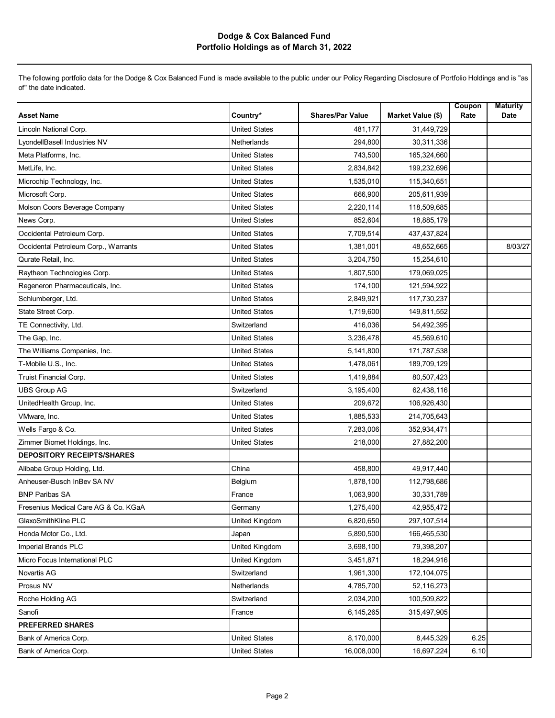| <b>Asset Name</b>                    | Country*             | <b>Shares/Par Value</b> | Market Value (\$) | Coupon<br>Rate | <b>Maturity</b><br>Date |
|--------------------------------------|----------------------|-------------------------|-------------------|----------------|-------------------------|
| Lincoln National Corp.               | <b>United States</b> | 481.177                 | 31,449,729        |                |                         |
| LyondellBasell Industries NV         | Netherlands          | 294,800                 | 30,311,336        |                |                         |
| Meta Platforms, Inc.                 | <b>United States</b> | 743,500                 | 165,324,660       |                |                         |
| MetLife, Inc.                        | <b>United States</b> | 2,834,842               | 199,232,696       |                |                         |
| Microchip Technology, Inc.           | <b>United States</b> | 1,535,010               | 115,340,651       |                |                         |
| Microsoft Corp.                      | <b>United States</b> | 666,900                 | 205,611,939       |                |                         |
| Molson Coors Beverage Company        | <b>United States</b> | 2,220,114               | 118,509,685       |                |                         |
| News Corp.                           | <b>United States</b> | 852,604                 | 18,885,179        |                |                         |
| Occidental Petroleum Corp.           | <b>United States</b> | 7,709,514               | 437, 437, 824     |                |                         |
| Occidental Petroleum Corp., Warrants | <b>United States</b> | 1,381,001               | 48,652,665        |                | 8/03/27                 |
| Qurate Retail, Inc.                  | <b>United States</b> | 3,204,750               | 15,254,610        |                |                         |
| Raytheon Technologies Corp.          | United States        | 1,807,500               | 179,069,025       |                |                         |
| Regeneron Pharmaceuticals, Inc.      | <b>United States</b> | 174,100                 | 121,594,922       |                |                         |
| Schlumberger, Ltd.                   | United States        | 2,849,921               | 117,730,237       |                |                         |
| State Street Corp.                   | <b>United States</b> | 1,719,600               | 149,811,552       |                |                         |
| TE Connectivity, Ltd.                | Switzerland          | 416,036                 | 54,492,395        |                |                         |
| The Gap, Inc.                        | <b>United States</b> | 3,236,478               | 45,569,610        |                |                         |
| The Williams Companies, Inc.         | <b>United States</b> | 5,141,800               | 171,787,538       |                |                         |
| T-Mobile U.S., Inc.                  | <b>United States</b> | 1,478,061               | 189,709,129       |                |                         |
| <b>Truist Financial Corp.</b>        | <b>United States</b> | 1,419,884               | 80,507,423        |                |                         |
| <b>UBS Group AG</b>                  | Switzerland          | 3,195,400               | 62,438,116        |                |                         |
| UnitedHealth Group, Inc.             | United States        | 209,672                 | 106,926,430       |                |                         |
| VMware, Inc.                         | <b>United States</b> | 1,885,533               | 214,705,643       |                |                         |
| Wells Fargo & Co.                    | <b>United States</b> | 7,283,006               | 352,934,471       |                |                         |
| Zimmer Biomet Holdings, Inc.         | <b>United States</b> | 218,000                 | 27,882,200        |                |                         |
| <b>DEPOSITORY RECEIPTS/SHARES</b>    |                      |                         |                   |                |                         |
| Alibaba Group Holding, Ltd.          | China                | 458,800                 | 49,917,440        |                |                         |
| Anheuser-Busch InBev SA NV           | Belgium              | 1,878,100               | 112,798,686       |                |                         |
| <b>BNP Paribas SA</b>                | France               | 1,063,900               | 30,331,789        |                |                         |
| Fresenius Medical Care AG & Co. KGaA | Germany              | 1,275,400               | 42,955,472        |                |                         |
| GlaxoSmithKline PLC                  | United Kingdom       | 6,820,650               | 297, 107, 514     |                |                         |
| Honda Motor Co., Ltd.                | Japan                | 5,890,500               | 166,465,530       |                |                         |
| Imperial Brands PLC                  | United Kingdom       | 3,698,100               | 79,398,207        |                |                         |
| Micro Focus International PLC        | United Kingdom       | 3,451,871               | 18,294,916        |                |                         |
| Novartis AG                          | Switzerland          | 1,961,300               | 172,104,075       |                |                         |
| Prosus NV                            | <b>Netherlands</b>   | 4,785,700               | 52,116,273        |                |                         |
| Roche Holding AG                     | Switzerland          | 2,034,200               | 100,509,822       |                |                         |
| Sanofi                               | France               | 6,145,265               | 315,497,905       |                |                         |
| <b>PREFERRED SHARES</b>              |                      |                         |                   |                |                         |
| Bank of America Corp.                | <b>United States</b> | 8,170,000               | 8,445,329         | 6.25           |                         |
| Bank of America Corp.                | <b>United States</b> | 16,008,000              | 16,697,224        | 6.10           |                         |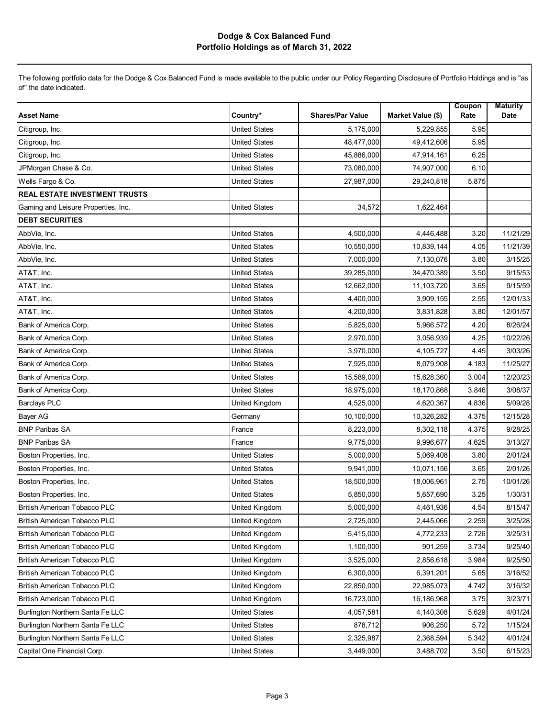|                                      |                       |                         |                          | Coupon | <b>Maturity</b> |
|--------------------------------------|-----------------------|-------------------------|--------------------------|--------|-----------------|
| <b>Asset Name</b>                    | Country*              | <b>Shares/Par Value</b> | <b>Market Value (\$)</b> | Rate   | Date            |
| Citigroup, Inc.                      | <b>United States</b>  | 5,175,000               | 5,229,855                | 5.95   |                 |
| Citigroup, Inc.                      | <b>United States</b>  | 48,477,000              | 49,412,606               | 5.95   |                 |
| Citigroup, Inc.                      | <b>United States</b>  | 45,886,000              | 47,914,161               | 6.25   |                 |
| JPMorgan Chase & Co.                 | <b>United States</b>  | 73,080,000              | 74,907,000               | 6.10   |                 |
| Wells Fargo & Co.                    | <b>United States</b>  | 27,987,000              | 29,240,818               | 5.875  |                 |
| <b>REAL ESTATE INVESTMENT TRUSTS</b> |                       |                         |                          |        |                 |
| Gaming and Leisure Properties, Inc.  | <b>United States</b>  | 34,572                  | 1,622,464                |        |                 |
| <b>DEBT SECURITIES</b>               |                       |                         |                          |        |                 |
| AbbVie, Inc.                         | <b>United States</b>  | 4,500,000               | 4,446,488                | 3.20   | 11/21/29        |
| AbbVie, Inc.                         | <b>United States</b>  | 10,550,000              | 10,839,144               | 4.05   | 11/21/39        |
| AbbVie, Inc.                         | <b>United States</b>  | 7,000,000               | 7,130,076                | 3.80   | 3/15/25         |
| AT&T, Inc.                           | <b>United States</b>  | 39,285,000              | 34,470,389               | 3.50   | 9/15/53         |
| AT&T, Inc.                           | <b>United States</b>  | 12,662,000              | 11,103,720               | 3.65   | 9/15/59         |
| AT&T, Inc.                           | <b>United States</b>  | 4,400,000               | 3,909,155                | 2.55   | 12/01/33        |
| AT&T, Inc.                           | <b>United States</b>  | 4,200,000               | 3,831,828                | 3.80   | 12/01/57        |
| Bank of America Corp.                | <b>United States</b>  | 5,825,000               | 5,966,572                | 4.20   | 8/26/24         |
| Bank of America Corp.                | <b>United States</b>  | 2,970,000               | 3,056,939                | 4.25   | 10/22/26        |
| Bank of America Corp.                | <b>United States</b>  | 3,970,000               | 4,105,727                | 4.45   | 3/03/26         |
| Bank of America Corp.                | <b>United States</b>  | 7,925,000               | 8,079,908                | 4.183  | 11/25/27        |
| Bank of America Corp.                | <b>United States</b>  | 15,589,000              | 15,628,360               | 3.004  | 12/20/23        |
| Bank of America Corp.                | <b>United States</b>  | 18,975,000              | 18,170,868               | 3.846  | 3/08/37         |
| <b>Barclays PLC</b>                  | United Kingdom        | 4,525,000               | 4,620,367                | 4.836  | 5/09/28         |
| <b>Bayer AG</b>                      | Germany               | 10,100,000              | 10,326,282               | 4.375  | 12/15/28        |
| <b>BNP Paribas SA</b>                | France                | 8,223,000               | 8,302,118                | 4.375  | 9/28/25         |
| <b>BNP Paribas SA</b>                | France                | 9,775,000               | 9,996,677                | 4.625  | 3/13/27         |
| Boston Properties, Inc.              | <b>United States</b>  | 5,000,000               | 5,069,408                | 3.80   | 2/01/24         |
| Boston Properties, Inc.              | <b>United States</b>  | 9,941,000               | 10,071,156               | 3.65   | 2/01/26         |
| Boston Properties, Inc.              | <b>United States</b>  | 18,500,000              | 18,006,961               | 2.75   | 10/01/26        |
| Boston Properties, Inc.              | United States         | 5,850,000               | 5,657,690                | 3.25   | 1/30/31         |
| <b>British American Tobacco PLC</b>  | United Kingdom        | 5,000,000               | 4,461,936                | 4.54   | 8/15/47         |
| <b>British American Tobacco PLC</b>  | United Kingdom        | 2,725,000               | 2,445,066                | 2.259  | 3/25/28         |
| British American Tobacco PLC         | United Kingdom        | 5,415,000               | 4,772,233                | 2.726  | 3/25/31         |
| British American Tobacco PLC         | United Kingdom        | 1,100,000               | 901,259                  | 3.734  | 9/25/40         |
| <b>British American Tobacco PLC</b>  | United Kingdom        | 3,525,000               | 2,856,618                | 3.984  | 9/25/50         |
| British American Tobacco PLC         | <b>United Kingdom</b> | 6,300,000               | 6,391,201                | 5.65   | 3/16/52         |
| <b>British American Tobacco PLC</b>  | United Kingdom        | 22,850,000              | 22,985,073               | 4.742  | 3/16/32         |
| <b>British American Tobacco PLC</b>  | United Kingdom        | 16,723,000              | 16,186,968               | 3.75   | 3/23/71         |
| Burlington Northern Santa Fe LLC     | <b>United States</b>  | 4,057,581               | 4,140,308                | 5.629  | 4/01/24         |
| Burlington Northern Santa Fe LLC     | <b>United States</b>  | 878,712                 | 906,250                  | 5.72   | 1/15/24         |
| Burlington Northern Santa Fe LLC     | <b>United States</b>  | 2,325,987               | 2,368,594                | 5.342  | 4/01/24         |
| Capital One Financial Corp.          | <b>United States</b>  | 3,449,000               | 3,488,702                | 3.50   | 6/15/23         |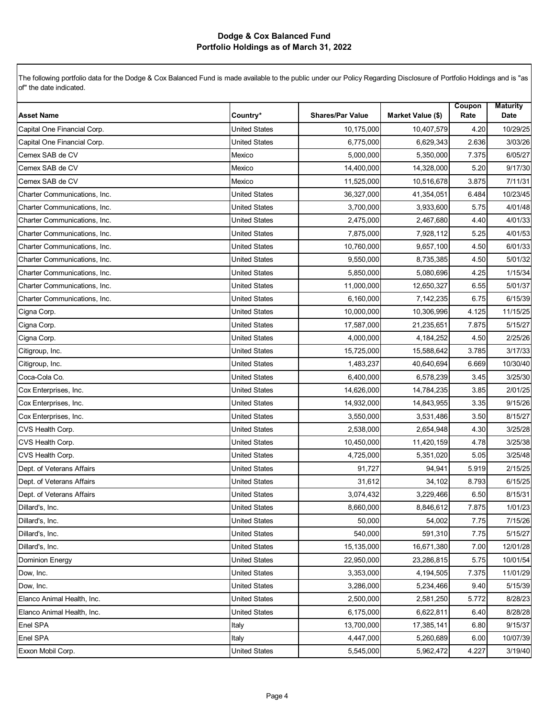| <b>Asset Name</b>            | Country*             | <b>Shares/Par Value</b> | Market Value (\$) | Coupon<br>Rate | <b>Maturity</b><br>Date |
|------------------------------|----------------------|-------------------------|-------------------|----------------|-------------------------|
| Capital One Financial Corp.  | <b>United States</b> | 10,175,000              | 10,407,579        | 4.20           | 10/29/25                |
| Capital One Financial Corp.  | <b>United States</b> | 6,775,000               | 6,629,343         | 2.636          | 3/03/26                 |
| Cemex SAB de CV              | Mexico               | 5,000,000               | 5,350,000         | 7.375          | 6/05/27                 |
| Cemex SAB de CV              | Mexico               | 14,400,000              | 14,328,000        | 5.20           | 9/17/30                 |
| Cemex SAB de CV              | Mexico               | 11,525,000              | 10,516,678        | 3.875          | 7/11/31                 |
| Charter Communications, Inc. | <b>United States</b> | 36,327,000              | 41,354,051        | 6.484          | 10/23/45                |
| Charter Communications, Inc. | <b>United States</b> | 3,700,000               | 3,933,600         | 5.75           | 4/01/48                 |
| Charter Communications, Inc. | <b>United States</b> | 2,475,000               | 2,467,680         | 4.40           | 4/01/33                 |
| Charter Communications, Inc. | <b>United States</b> | 7,875,000               | 7,928,112         | 5.25           | 4/01/53                 |
| Charter Communications, Inc. | <b>United States</b> | 10,760,000              | 9,657,100         | 4.50           | 6/01/33                 |
| Charter Communications, Inc. | <b>United States</b> | 9,550,000               | 8,735,385         | 4.50           | 5/01/32                 |
| Charter Communications, Inc. | <b>United States</b> | 5,850,000               | 5,080,696         | 4.25           | 1/15/34                 |
| Charter Communications, Inc. | <b>United States</b> | 11,000,000              | 12,650,327        | 6.55           | 5/01/37                 |
| Charter Communications, Inc. | <b>United States</b> | 6,160,000               | 7,142,235         | 6.75           | 6/15/39                 |
| Cigna Corp.                  | <b>United States</b> | 10,000,000              | 10,306,996        | 4.125          | 11/15/25                |
| Cigna Corp.                  | <b>United States</b> | 17,587,000              | 21,235,651        | 7.875          | 5/15/27                 |
| Cigna Corp.                  | <b>United States</b> | 4,000,000               | 4, 184, 252       | 4.50           | 2/25/26                 |
| Citigroup, Inc.              | <b>United States</b> | 15,725,000              | 15,588,642        | 3.785          | 3/17/33                 |
| Citigroup, Inc.              | <b>United States</b> | 1,483,237               | 40,640,694        | 6.669          | 10/30/40                |
| Coca-Cola Co.                | <b>United States</b> | 6,400,000               | 6,578,239         | 3.45           | 3/25/30                 |
| Cox Enterprises, Inc.        | <b>United States</b> | 14,626,000              | 14,784,235        | 3.85           | 2/01/25                 |
| Cox Enterprises, Inc.        | <b>United States</b> | 14,932,000              | 14,843,955        | 3.35           | 9/15/26                 |
| Cox Enterprises, Inc.        | <b>United States</b> | 3,550,000               | 3,531,486         | 3.50           | 8/15/27                 |
| CVS Health Corp.             | <b>United States</b> | 2,538,000               | 2,654,948         | 4.30           | 3/25/28                 |
| CVS Health Corp.             | <b>United States</b> | 10,450,000              | 11,420,159        | 4.78           | 3/25/38                 |
| CVS Health Corp.             | <b>United States</b> | 4,725,000               | 5,351,020         | 5.05           | 3/25/48                 |
| Dept. of Veterans Affairs    | <b>United States</b> | 91,727                  | 94,941            | 5.919          | 2/15/25                 |
| Dept. of Veterans Affairs    | <b>United States</b> | 31,612                  | 34,102            | 8.793          | 6/15/25                 |
| Dept. of Veterans Affairs    | <b>United States</b> | 3,074,432               | 3,229,466         | 6.50           | 8/15/31                 |
| Dillard's, Inc.              | <b>United States</b> | 8,660,000               | 8,846,612         | 7.875          | 1/01/23                 |
| Dillard's, Inc.              | <b>United States</b> | 50,000                  | 54,002            | 7.75           | 7/15/26                 |
| Dillard's, Inc.              | <b>United States</b> | 540,000                 | 591,310           | 7.75           | 5/15/27                 |
| Dillard's, Inc.              | <b>United States</b> | 15,135,000              | 16,671,380        | 7.00           | 12/01/28                |
| Dominion Energy              | <b>United States</b> | 22,950,000              | 23,286,815        | 5.75           | 10/01/54                |
| Dow, Inc.                    | United States        | 3,353,000               | 4,194,505         | 7.375          | 11/01/29                |
| Dow, Inc.                    | United States        | 3,286,000               | 5,234,466         | 9.40           | 5/15/39                 |
| Elanco Animal Health, Inc.   | <b>United States</b> | 2,500,000               | 2,581,250         | 5.772          | 8/28/23                 |
| Elanco Animal Health, Inc.   | <b>United States</b> | 6,175,000               | 6,622,811         | 6.40           | 8/28/28                 |
| Enel SPA                     | Italy                | 13,700,000              | 17,385,141        | 6.80           | 9/15/37                 |
| Enel SPA                     | Italy                | 4,447,000               | 5,260,689         | 6.00           | 10/07/39                |
| Exxon Mobil Corp.            | <b>United States</b> | 5,545,000               | 5,962,472         | 4.227          | 3/19/40                 |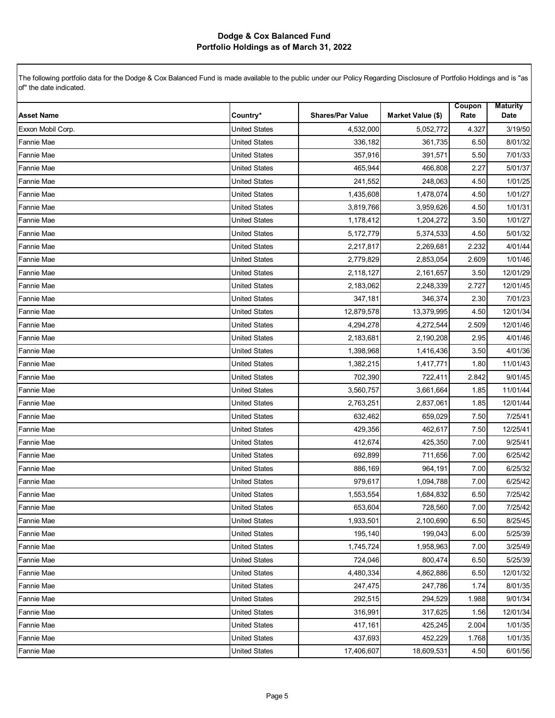| <b>Asset Name</b> | Country*             | <b>Shares/Par Value</b> | <b>Market Value (\$)</b> | Coupon<br>Rate | <b>Maturity</b><br>Date |
|-------------------|----------------------|-------------------------|--------------------------|----------------|-------------------------|
| Exxon Mobil Corp. | <b>United States</b> | 4,532,000               | 5,052,772                | 4.327          | 3/19/50                 |
| Fannie Mae        | <b>United States</b> | 336,182                 | 361,735                  | 6.50           | 8/01/32                 |
| Fannie Mae        | <b>United States</b> | 357,916                 | 391,571                  | 5.50           | 7/01/33                 |
| Fannie Mae        | <b>United States</b> | 465,944                 | 466,808                  | 2.27           | 5/01/37                 |
| Fannie Mae        | <b>United States</b> | 241,552                 | 248,063                  | 4.50           | 1/01/25                 |
| Fannie Mae        | <b>United States</b> | 1,435,608               | 1,478,074                | 4.50           | 1/01/27                 |
| Fannie Mae        | <b>United States</b> | 3,819,766               | 3,959,626                | 4.50           | 1/01/31                 |
| Fannie Mae        | <b>United States</b> | 1,178,412               | 1,204,272                | 3.50           | 1/01/27                 |
| <b>Fannie Mae</b> | <b>United States</b> | 5,172,779               | 5,374,533                | 4.50           | 5/01/32                 |
| <b>Fannie Mae</b> | <b>United States</b> | 2,217,817               | 2,269,681                | 2.232          | 4/01/44                 |
| Fannie Mae        | <b>United States</b> | 2,779,829               | 2,853,054                | 2.609          | 1/01/46                 |
| Fannie Mae        | <b>United States</b> | 2,118,127               | 2,161,657                | 3.50           | 12/01/29                |
| Fannie Mae        | <b>United States</b> | 2,183,062               | 2,248,339                | 2.727          | 12/01/45                |
| Fannie Mae        | <b>United States</b> | 347,181                 | 346,374                  | 2.30           | 7/01/23                 |
| Fannie Mae        | <b>United States</b> | 12,879,578              | 13,379,995               | 4.50           | 12/01/34                |
| Fannie Mae        | <b>United States</b> | 4,294,278               | 4,272,544                | 2.509          | 12/01/46                |
| Fannie Mae        | <b>United States</b> | 2,183,681               | 2,190,208                | 2.95           | 4/01/46                 |
| Fannie Mae        | <b>United States</b> | 1,398,968               | 1,416,436                | 3.50           | 4/01/36                 |
| <b>Fannie Mae</b> | <b>United States</b> | 1,382,215               | 1,417,771                | 1.80           | 11/01/43                |
| <b>Fannie Mae</b> | <b>United States</b> | 702,390                 | 722,411                  | 2.842          | 9/01/45                 |
| Fannie Mae        | <b>United States</b> | 3,560,757               | 3,661,664                | 1.85           | 11/01/44                |
| Fannie Mae        | <b>United States</b> | 2,763,251               | 2,837,061                | 1.85           | 12/01/44                |
| Fannie Mae        | <b>United States</b> | 632,462                 | 659,029                  | 7.50           | 7/25/41                 |
| Fannie Mae        | <b>United States</b> | 429,356                 | 462,617                  | 7.50           | 12/25/41                |
| Fannie Mae        | <b>United States</b> | 412,674                 | 425,350                  | 7.00           | 9/25/41                 |
| Fannie Mae        | <b>United States</b> | 692,899                 | 711,656                  | 7.00           | 6/25/42                 |
| Fannie Mae        | <b>United States</b> | 886,169                 | 964,191                  | 7.00           | 6/25/32                 |
| Fannie Mae        | <b>United States</b> | 979,617                 | 1,094,788                | 7.00           | 6/25/42                 |
| Fannie Mae        | <b>United States</b> | 1,553,554               | 1,684,832                | 6.50           | 7/25/42                 |
| Fannie Mae        | United States        | 653,604                 | 728,560                  | 7.00           | 7/25/42                 |
| <b>Fannie Mae</b> | <b>United States</b> | 1,933,501               | 2,100,690                | 6.50           | 8/25/45                 |
| <b>Fannie Mae</b> | <b>United States</b> | 195,140                 | 199,043                  | 6.00           | 5/25/39                 |
| <b>Fannie Mae</b> | <b>United States</b> | 1,745,724               | 1,958,963                | 7.00           | 3/25/49                 |
| <b>Fannie Mae</b> | <b>United States</b> | 724,046                 | 800,474                  | 6.50           | 5/25/39                 |
| <b>Fannie Mae</b> | <b>United States</b> | 4,480,334               | 4,862,886                | 6.50           | 12/01/32                |
| <b>Fannie Mae</b> | <b>United States</b> | 247,475                 | 247,786                  | 1.74           | 8/01/35                 |
| Fannie Mae        | <b>United States</b> | 292,515                 | 294,529                  | 1.988          | 9/01/34                 |
| <b>Fannie Mae</b> | <b>United States</b> | 316,991                 | 317,625                  | 1.56           | 12/01/34                |
| <b>Fannie Mae</b> | <b>United States</b> | 417,161                 | 425,245                  | 2.004          | 1/01/35                 |
| Fannie Mae        | <b>United States</b> | 437,693                 | 452,229                  | 1.768          | 1/01/35                 |
| Fannie Mae        | <b>United States</b> | 17,406,607              | 18,609,531               | 4.50           | 6/01/56                 |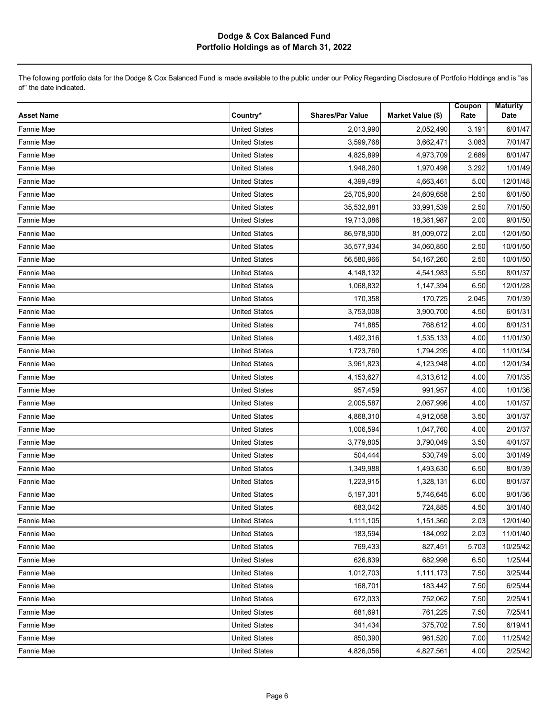| <b>Asset Name</b> | Country*             | <b>Shares/Par Value</b> | Market Value (\$) | Coupon<br>Rate | <b>Maturity</b><br>Date |
|-------------------|----------------------|-------------------------|-------------------|----------------|-------------------------|
| Fannie Mae        | <b>United States</b> | 2,013,990               | 2,052,490         | 3.191          | 6/01/47                 |
| Fannie Mae        | <b>United States</b> | 3,599,768               | 3,662,471         | 3.083          | 7/01/47                 |
| Fannie Mae        | <b>United States</b> | 4,825,899               | 4,973,709         | 2.689          | 8/01/47                 |
| Fannie Mae        | <b>United States</b> | 1,948,260               | 1,970,498         | 3.292          | 1/01/49                 |
| Fannie Mae        | <b>United States</b> | 4,399,489               | 4,663,461         | 5.00           | 12/01/48                |
| Fannie Mae        | <b>United States</b> | 25,705,900              | 24,609,658        | 2.50           | 6/01/50                 |
| Fannie Mae        | <b>United States</b> | 35,532,881              | 33,991,539        | 2.50           | 7/01/50                 |
| Fannie Mae        | <b>United States</b> | 19,713,086              | 18,361,987        | 2.00           | 9/01/50                 |
| <b>Fannie Mae</b> | <b>United States</b> | 86,978,900              | 81,009,072        | 2.00           | 12/01/50                |
| <b>Fannie Mae</b> | <b>United States</b> | 35,577,934              | 34,060,850        | 2.50           | 10/01/50                |
| Fannie Mae        | <b>United States</b> | 56,580,966              | 54, 167, 260      | 2.50           | 10/01/50                |
| Fannie Mae        | <b>United States</b> | 4,148,132               | 4,541,983         | 5.50           | 8/01/37                 |
| Fannie Mae        | <b>United States</b> | 1,068,832               | 1,147,394         | 6.50           | 12/01/28                |
| Fannie Mae        | <b>United States</b> | 170,358                 | 170,725           | 2.045          | 7/01/39                 |
| Fannie Mae        | <b>United States</b> | 3,753,008               | 3,900,700         | 4.50           | 6/01/31                 |
| Fannie Mae        | <b>United States</b> | 741,885                 | 768,612           | 4.00           | 8/01/31                 |
| Fannie Mae        | <b>United States</b> | 1,492,316               | 1,535,133         | 4.00           | 11/01/30                |
| Fannie Mae        | <b>United States</b> | 1,723,760               | 1,794,295         | 4.00           | 11/01/34                |
| <b>Fannie Mae</b> | <b>United States</b> | 3,961,823               | 4,123,948         | 4.00           | 12/01/34                |
| <b>Fannie Mae</b> | <b>United States</b> | 4,153,627               | 4,313,612         | 4.00           | 7/01/35                 |
| Fannie Mae        | <b>United States</b> | 957,459                 | 991,957           | 4.00           | 1/01/36                 |
| Fannie Mae        | <b>United States</b> | 2,005,587               | 2,067,996         | 4.00           | 1/01/37                 |
| Fannie Mae        | <b>United States</b> | 4,868,310               | 4,912,058         | 3.50           | 3/01/37                 |
| Fannie Mae        | <b>United States</b> | 1,006,594               | 1,047,760         | 4.00           | 2/01/37                 |
| Fannie Mae        | <b>United States</b> | 3,779,805               | 3,790,049         | 3.50           | 4/01/37                 |
| Fannie Mae        | <b>United States</b> | 504,444                 | 530,749           | 5.00           | 3/01/49                 |
| Fannie Mae        | <b>United States</b> | 1,349,988               | 1,493,630         | 6.50           | 8/01/39                 |
| Fannie Mae        | <b>United States</b> | 1,223,915               | 1,328,131         | 6.00           | 8/01/37                 |
| Fannie Mae        | <b>United States</b> | 5,197,301               | 5,746,645         | 6.00           | 9/01/36                 |
| Fannie Mae        | United States        | 683,042                 | 724,885           | 4.50           | 3/01/40                 |
| <b>Fannie Mae</b> | <b>United States</b> | 1,111,105               | 1,151,360         | 2.03           | 12/01/40                |
| <b>Fannie Mae</b> | <b>United States</b> | 183,594                 | 184,092           | 2.03           | 11/01/40                |
| <b>Fannie Mae</b> | <b>United States</b> | 769,433                 | 827,451           | 5.703          | 10/25/42                |
| <b>Fannie Mae</b> | <b>United States</b> | 626,839                 | 682,998           | 6.50           | 1/25/44                 |
| <b>Fannie Mae</b> | United States        | 1,012,703               | 1,111,173         | 7.50           | 3/25/44                 |
| <b>Fannie Mae</b> | <b>United States</b> | 168,701                 | 183,442           | 7.50           | 6/25/44                 |
| <b>Fannie Mae</b> | <b>United States</b> | 672,033                 | 752,062           | 7.50           | 2/25/41                 |
| <b>Fannie Mae</b> | <b>United States</b> | 681,691                 | 761,225           | 7.50           | 7/25/41                 |
| <b>Fannie Mae</b> | <b>United States</b> | 341,434                 | 375,702           | 7.50           | 6/19/41                 |
| Fannie Mae        | <b>United States</b> | 850,390                 | 961,520           | 7.00           | 11/25/42                |
| Fannie Mae        | <b>United States</b> | 4,826,056               | 4,827,561         | 4.00           | 2/25/42                 |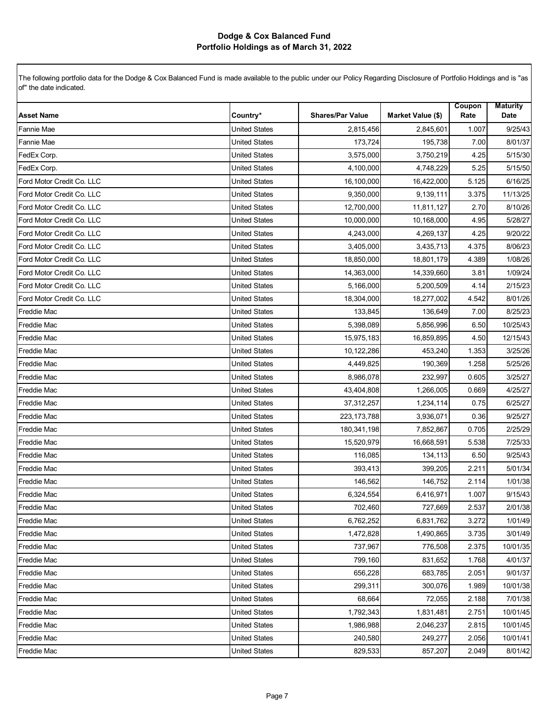| <b>Asset Name</b>         | Country*             | <b>Shares/Par Value</b> | Market Value (\$) | Coupon<br>Rate | <b>Maturity</b><br>Date |
|---------------------------|----------------------|-------------------------|-------------------|----------------|-------------------------|
| Fannie Mae                | <b>United States</b> | 2,815,456               | 2,845,601         | 1.007          | 9/25/43                 |
| Fannie Mae                | <b>United States</b> | 173,724                 | 195,738           | 7.00           | 8/01/37                 |
| FedEx Corp.               | <b>United States</b> | 3,575,000               | 3,750,219         | 4.25           | 5/15/30                 |
| FedEx Corp.               | <b>United States</b> | 4,100,000               | 4,748,229         | 5.25           | 5/15/50                 |
| Ford Motor Credit Co. LLC | <b>United States</b> | 16,100,000              | 16,422,000        | 5.125          | 6/16/25                 |
| Ford Motor Credit Co. LLC | <b>United States</b> | 9,350,000               | 9,139,111         | 3.375          | 11/13/25                |
| Ford Motor Credit Co. LLC | <b>United States</b> | 12,700,000              | 11,811,127        | 2.70           | 8/10/26                 |
| Ford Motor Credit Co. LLC | <b>United States</b> | 10,000,000              | 10,168,000        | 4.95           | 5/28/27                 |
| Ford Motor Credit Co. LLC | <b>United States</b> | 4,243,000               | 4,269,137         | 4.25           | 9/20/22                 |
| Ford Motor Credit Co. LLC | <b>United States</b> | 3,405,000               | 3,435,713         | 4.375          | 8/06/23                 |
| Ford Motor Credit Co. LLC | <b>United States</b> | 18,850,000              | 18,801,179        | 4.389          | 1/08/26                 |
| Ford Motor Credit Co. LLC | <b>United States</b> | 14,363,000              | 14,339,660        | 3.81           | 1/09/24                 |
| Ford Motor Credit Co. LLC | <b>United States</b> | 5,166,000               | 5,200,509         | 4.14           | 2/15/23                 |
| Ford Motor Credit Co. LLC | <b>United States</b> | 18,304,000              | 18,277,002        | 4.542          | 8/01/26                 |
| <b>Freddie Mac</b>        | <b>United States</b> | 133,845                 | 136,649           | 7.00           | 8/25/23                 |
| <b>Freddie Mac</b>        | <b>United States</b> | 5,398,089               | 5,856,996         | 6.50           | 10/25/43                |
| <b>Freddie Mac</b>        | <b>United States</b> | 15,975,183              | 16,859,895        | 4.50           | 12/15/43                |
| Freddie Mac               | <b>United States</b> | 10,122,286              | 453,240           | 1.353          | 3/25/26                 |
| <b>Freddie Mac</b>        | <b>United States</b> | 4,449,825               | 190,369           | 1.258          | 5/25/26                 |
| <b>Freddie Mac</b>        | <b>United States</b> | 8,986,078               | 232,997           | 0.605          | 3/25/27                 |
| <b>Freddie Mac</b>        | <b>United States</b> | 43,404,808              | 1,266,005         | 0.669          | 4/25/27                 |
| Freddie Mac               | <b>United States</b> | 37,312,257              | 1,234,114         | 0.75           | 6/25/27                 |
| <b>Freddie Mac</b>        | <b>United States</b> | 223, 173, 788           | 3,936,071         | 0.36           | 9/25/27                 |
| Freddie Mac               | <b>United States</b> | 180,341,198             | 7,852,867         | 0.705          | 2/25/29                 |
| <b>Freddie Mac</b>        | <b>United States</b> | 15,520,979              | 16,668,591        | 5.538          | 7/25/33                 |
| <b>Freddie Mac</b>        | <b>United States</b> | 116,085                 | 134,113           | 6.50           | 9/25/43                 |
| Freddie Mac               | <b>United States</b> | 393,413                 | 399,205           | 2.211          | 5/01/34                 |
| Freddie Mac               | <b>United States</b> | 146,562                 | 146,752           | 2.114          | 1/01/38                 |
| <b>Freddie Mac</b>        | <b>United States</b> | 6,324,554               | 6,416,971         | 1.007          | 9/15/43                 |
| <b>Freddie Mac</b>        | <b>United States</b> | 702,460                 | 727,669           | 2.537          | 2/01/38                 |
| <b>Freddie Mac</b>        | <b>United States</b> | 6,762,252               | 6,831,762         | 3.272          | 1/01/49                 |
| <b>Freddie Mac</b>        | United States        | 1,472,828               | 1,490,865         | 3.735          | 3/01/49                 |
| <b>Freddie Mac</b>        | <b>United States</b> | 737,967                 | 776,508           | 2.375          | 10/01/35                |
| <b>Freddie Mac</b>        | <b>United States</b> | 799,160                 | 831,652           | 1.768          | 4/01/37                 |
| <b>Freddie Mac</b>        | <b>United States</b> | 656,228                 | 683,785           | 2.051          | 9/01/37                 |
| <b>Freddie Mac</b>        | United States        | 299,311                 | 300.076           | 1.989          | 10/01/38                |
| <b>Freddie Mac</b>        | United States        | 68,664                  | 72,055            | 2.188          | 7/01/38                 |
| <b>Freddie Mac</b>        | <b>United States</b> | 1,792,343               | 1,831,481         | 2.751          | 10/01/45                |
| <b>Freddie Mac</b>        | <b>United States</b> | 1,986,988               | 2,046,237         | 2.815          | 10/01/45                |
| Freddie Mac               | <b>United States</b> | 240,580                 | 249,277           | 2.056          | 10/01/41                |
| <b>Freddie Mac</b>        | United States        | 829,533                 | 857,207           | 2.049          | 8/01/42                 |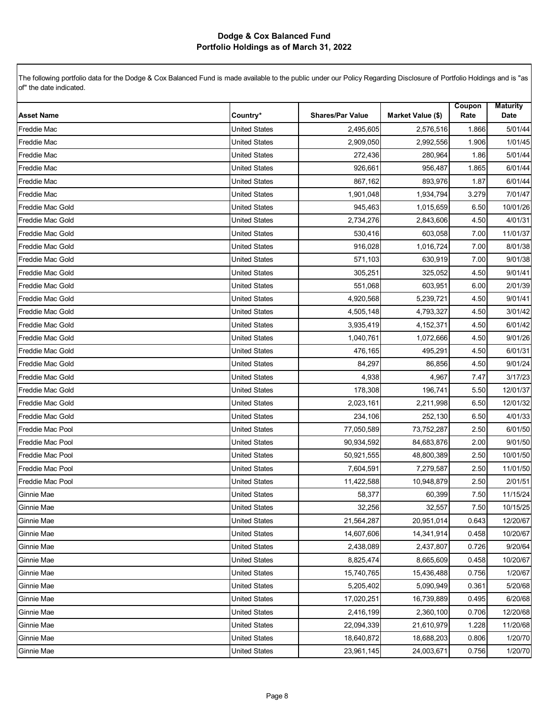| <b>Asset Name</b>  | Country*             | <b>Shares/Par Value</b> | Market Value (\$) | Coupon<br>Rate | <b>Maturity</b><br>Date |
|--------------------|----------------------|-------------------------|-------------------|----------------|-------------------------|
| <b>Freddie Mac</b> | <b>United States</b> | 2.495.605               | 2,576,516         | 1.866          | 5/01/44                 |
| Freddie Mac        | <b>United States</b> | 2,909,050               | 2,992,556         | 1.906          | 1/01/45                 |
| <b>Freddie Mac</b> | <b>United States</b> | 272,436                 | 280,964           | 1.86           | 5/01/44                 |
| <b>Freddie Mac</b> | <b>United States</b> | 926,661                 | 956,487           | 1.865          | 6/01/44                 |
| <b>Freddie Mac</b> | <b>United States</b> | 867,162                 | 893,976           | 1.87           | 6/01/44                 |
| <b>Freddie Mac</b> | <b>United States</b> | 1,901,048               | 1,934,794         | 3.279          | 7/01/47                 |
| Freddie Mac Gold   | <b>United States</b> | 945,463                 | 1,015,659         | 6.50           | 10/01/26                |
| Freddie Mac Gold   | <b>United States</b> | 2,734,276               | 2,843,606         | 4.50           | 4/01/31                 |
| Freddie Mac Gold   | <b>United States</b> | 530,416                 | 603,058           | 7.00           | 11/01/37                |
| Freddie Mac Gold   | <b>United States</b> | 916,028                 | 1,016,724         | 7.00           | 8/01/38                 |
| Freddie Mac Gold   | <b>United States</b> | 571,103                 | 630,919           | 7.00           | 9/01/38                 |
| Freddie Mac Gold   | <b>United States</b> | 305,251                 | 325,052           | 4.50           | 9/01/41                 |
| Freddie Mac Gold   | <b>United States</b> | 551,068                 | 603,951           | 6.00           | 2/01/39                 |
| Freddie Mac Gold   | <b>United States</b> | 4,920,568               | 5,239,721         | 4.50           | 9/01/41                 |
| Freddie Mac Gold   | <b>United States</b> | 4,505,148               | 4,793,327         | 4.50           | 3/01/42                 |
| Freddie Mac Gold   | <b>United States</b> | 3,935,419               | 4,152,371         | 4.50           | 6/01/42                 |
| Freddie Mac Gold   | <b>United States</b> | 1,040,761               | 1,072,666         | 4.50           | 9/01/26                 |
| Freddie Mac Gold   | <b>United States</b> | 476,165                 | 495,291           | 4.50           | 6/01/31                 |
| Freddie Mac Gold   | <b>United States</b> | 84,297                  | 86,856            | 4.50           | 9/01/24                 |
| Freddie Mac Gold   | <b>United States</b> | 4,938                   | 4,967             | 7.47           | 3/17/23                 |
| Freddie Mac Gold   | <b>United States</b> | 178,308                 | 196,741           | 5.50           | 12/01/37                |
| Freddie Mac Gold   | <b>United States</b> | 2,023,161               | 2,211,998         | 6.50           | 12/01/32                |
| Freddie Mac Gold   | <b>United States</b> | 234,106                 | 252,130           | 6.50           | 4/01/33                 |
| Freddie Mac Pool   | <b>United States</b> | 77,050,589              | 73,752,287        | 2.50           | 6/01/50                 |
| Freddie Mac Pool   | <b>United States</b> | 90,934,592              | 84,683,876        | 2.00           | 9/01/50                 |
| Freddie Mac Pool   | <b>United States</b> | 50,921,555              | 48,800,389        | 2.50           | 10/01/50                |
| Freddie Mac Pool   | <b>United States</b> | 7,604,591               | 7,279,587         | 2.50           | 11/01/50                |
| Freddie Mac Pool   | <b>United States</b> | 11,422,588              | 10,948,879        | 2.50           | 2/01/51                 |
| Ginnie Mae         | <b>United States</b> | 58,377                  | 60,399            | 7.50           | 11/15/24                |
| Ginnie Mae         | <b>United States</b> | 32,256                  | 32,557            | 7.50           | 10/15/25                |
| Ginnie Mae         | <b>United States</b> | 21,564,287              | 20,951,014        | 0.643          | 12/20/67                |
| Ginnie Mae         | United States        | 14,607,606              | 14,341,914        | 0.458          | 10/20/67                |
| Ginnie Mae         | <b>United States</b> | 2,438,089               | 2,437,807         | 0.726          | 9/20/64                 |
| Ginnie Mae         | <b>United States</b> | 8,825,474               | 8.665.609         | 0.458          | 10/20/67                |
| Ginnie Mae         | <b>United States</b> | 15,740,765              | 15,436,488        | 0.756          | 1/20/67                 |
| Ginnie Mae         | <b>United States</b> | 5,205,402               | 5,090,949         | 0.361          | 5/20/68                 |
| Ginnie Mae         | <b>United States</b> | 17,020,251              | 16,739,889        | 0.495          | 6/20/68                 |
| Ginnie Mae         | <b>United States</b> | 2,416,199               | 2,360,100         | 0.706          | 12/20/68                |
| Ginnie Mae         | <b>United States</b> | 22,094,339              | 21,610,979        | 1.228          | 11/20/68                |
| Ginnie Mae         | <b>United States</b> | 18,640,872              | 18,688,203        | 0.806          | 1/20/70                 |
| Ginnie Mae         | <b>United States</b> | 23,961,145              | 24,003,671        | 0.756          | 1/20/70                 |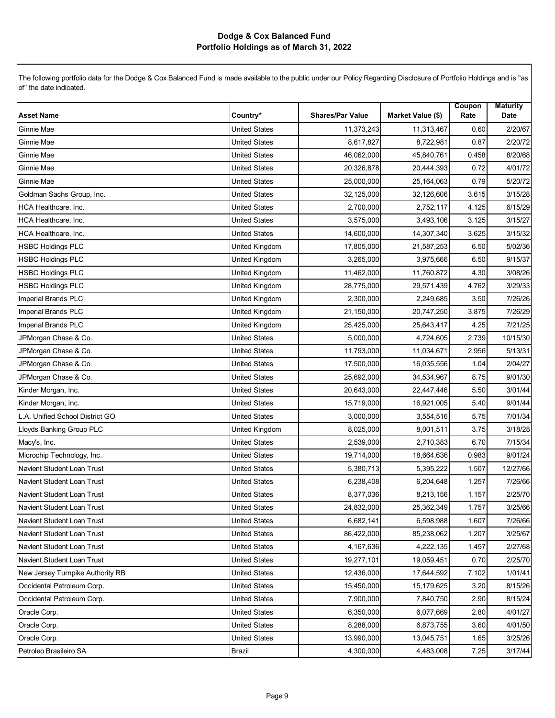| <b>Asset Name</b>                | Country*             | <b>Shares/Par Value</b> | Market Value (\$) | Coupon<br>Rate | <b>Maturity</b><br>Date |
|----------------------------------|----------------------|-------------------------|-------------------|----------------|-------------------------|
| Ginnie Mae                       | <b>United States</b> | 11,373,243              | 11,313,467        | 0.60           | 2/20/67                 |
| Ginnie Mae                       | <b>United States</b> | 8,617,827               | 8,722,981         | 0.87           | 2/20/72                 |
| Ginnie Mae                       | <b>United States</b> | 46,062,000              | 45,840,761        | 0.458          | 8/20/68                 |
| Ginnie Mae                       | <b>United States</b> | 20,326,878              | 20,444,393        | 0.72           | 4/01/72                 |
| Ginnie Mae                       | <b>United States</b> | 25,000,000              | 25, 164, 063      | 0.79           | 5/20/72                 |
| Goldman Sachs Group, Inc.        | <b>United States</b> | 32,125,000              | 32,126,606        | 3.615          | 3/15/28                 |
| HCA Healthcare, Inc.             | <b>United States</b> | 2,700,000               | 2,752,117         | 4.125          | 6/15/29                 |
| <b>HCA Healthcare, Inc.</b>      | <b>United States</b> | 3,575,000               | 3,493,106         | 3.125          | 3/15/27                 |
| HCA Healthcare, Inc.             | <b>United States</b> | 14,600,000              | 14,307,340        | 3.625          | 3/15/32                 |
| <b>HSBC Holdings PLC</b>         | United Kingdom       | 17,805,000              | 21,587,253        | 6.50           | 5/02/36                 |
| <b>HSBC Holdings PLC</b>         | United Kingdom       | 3,265,000               | 3,975,666         | 6.50           | 9/15/37                 |
| <b>HSBC Holdings PLC</b>         | United Kingdom       | 11,462,000              | 11,760,872        | 4.30           | 3/08/26                 |
| <b>HSBC Holdings PLC</b>         | United Kingdom       | 28,775,000              | 29,571,439        | 4.762          | 3/29/33                 |
| Imperial Brands PLC              | United Kingdom       | 2,300,000               | 2,249,685         | 3.50           | 7/26/26                 |
| Imperial Brands PLC              | United Kingdom       | 21,150,000              | 20,747,250        | 3.875          | 7/26/29                 |
| <b>Imperial Brands PLC</b>       | United Kingdom       | 25,425,000              | 25,643,417        | 4.25           | 7/21/25                 |
| JPMorgan Chase & Co.             | <b>United States</b> | 5,000,000               | 4,724,605         | 2.739          | 10/15/30                |
| JPMorgan Chase & Co.             | <b>United States</b> | 11,793,000              | 11,034,671        | 2.956          | 5/13/31                 |
| JPMorgan Chase & Co.             | <b>United States</b> | 17,500,000              | 16,035,556        | 1.04           | 2/04/27                 |
| JPMorgan Chase & Co.             | <b>United States</b> | 25,692,000              | 34,534,967        | 8.75           | 9/01/30                 |
| Kinder Morgan, Inc.              | <b>United States</b> | 20,643,000              | 22,447,446        | 5.50           | 3/01/44                 |
| Kinder Morgan, Inc.              | <b>United States</b> | 15,719,000              | 16,921,005        | 5.40           | 9/01/44                 |
| L.A. Unified School District GO  | <b>United States</b> | 3,000,000               | 3,554,516         | 5.75           | 7/01/34                 |
| Lloyds Banking Group PLC         | United Kingdom       | 8,025,000               | 8,001,511         | 3.75           | 3/18/28                 |
| Macy's, Inc.                     | <b>United States</b> | 2,539,000               | 2,710,383         | 6.70           | 7/15/34                 |
| Microchip Technology, Inc.       | <b>United States</b> | 19,714,000              | 18,664,636        | 0.983          | 9/01/24                 |
| Navient Student Loan Trust       | <b>United States</b> | 5,380,713               | 5,395,222         | 1.507          | 12/27/66                |
| Navient Student Loan Trust       | <b>United States</b> | 6,238,408               | 6,204,648         | 1.257          | 7/26/66                 |
| Navient Student Loan Trust       | <b>United States</b> | 8,377,036               | 8,213,156         | 1.157          | 2/25/70                 |
| Navient Student Loan Trust       | <b>United States</b> | 24,832,000              | 25,362,349        | 1.757          | 3/25/66                 |
| Navient Student Loan Trust       | <b>United States</b> | 6,682,141               | 6,598,988         | 1.607          | 7/26/66                 |
| Navient Student Loan Trust       | <b>United States</b> | 86,422,000              | 85,238,062        | 1.207          | 3/25/67                 |
| Navient Student Loan Trust       | <b>United States</b> | 4,167,636               | 4,222,135         | 1.457          | 2/27/68                 |
| Navient Student Loan Trust       | <b>United States</b> | 19,277,101              | 19,059,451        | 0.70           | 2/25/70                 |
| New Jersey Turnpike Authority RB | <b>United States</b> | 12,436,000              | 17,644,592        | 7.102          | 1/01/41                 |
| Occidental Petroleum Corp.       | <b>United States</b> | 15,450,000              | 15,179,625        | 3.20           | 8/15/26                 |
| Occidental Petroleum Corp.       | <b>United States</b> | 7,900,000               | 7,840,750         | 2.90           | 8/15/24                 |
| Oracle Corp.                     | <b>United States</b> | 6,350,000               | 6,077,669         | 2.80           | 4/01/27                 |
| Oracle Corp.                     | <b>United States</b> | 8,288,000               | 6,873,755         | 3.60           | 4/01/50                 |
| Oracle Corp.                     | <b>United States</b> | 13,990,000              | 13,045,751        | 1.65           | 3/25/26                 |
| Petroleo Brasileiro SA           | Brazil               | 4,300,000               | 4,483,008         | 7.25           | 3/17/44                 |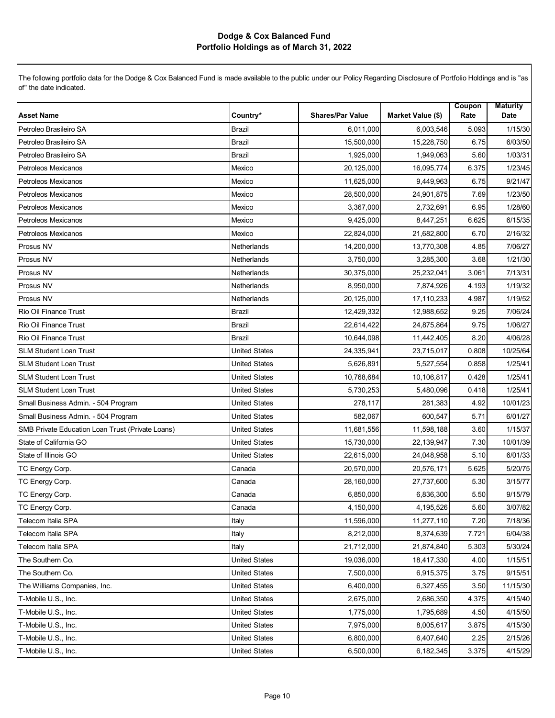| <b>Asset Name</b>                                | Country*             | <b>Shares/Par Value</b> | Market Value (\$) | Coupon<br>Rate | <b>Maturity</b><br>Date |
|--------------------------------------------------|----------------------|-------------------------|-------------------|----------------|-------------------------|
| Petroleo Brasileiro SA                           | <b>Brazil</b>        | 6,011,000               | 6,003,546         | 5.093          | 1/15/30                 |
| Petroleo Brasileiro SA                           | <b>Brazil</b>        | 15,500,000              | 15,228,750        | 6.75           | 6/03/50                 |
| Petroleo Brasileiro SA                           | <b>Brazil</b>        | 1.925.000               | 1,949,063         | 5.60           | 1/03/31                 |
| Petroleos Mexicanos                              | Mexico               | 20,125,000              | 16,095,774        | 6.375          | 1/23/45                 |
| Petroleos Mexicanos                              | Mexico               | 11,625,000              | 9,449,963         | 6.75           | 9/21/47                 |
| Petroleos Mexicanos                              | Mexico               | 28,500,000              | 24,901,875        | 7.69           | 1/23/50                 |
| Petroleos Mexicanos                              | Mexico               | 3,367,000               | 2,732,691         | 6.95           | 1/28/60                 |
| Petroleos Mexicanos                              | Mexico               | 9,425,000               | 8,447,251         | 6.625          | 6/15/35                 |
| Petroleos Mexicanos                              | Mexico               | 22,824,000              | 21,682,800        | 6.70           | 2/16/32                 |
| Prosus NV                                        | Netherlands          | 14,200,000              | 13,770,308        | 4.85           | 7/06/27                 |
| Prosus NV                                        | Netherlands          | 3,750,000               | 3,285,300         | 3.68           | 1/21/30                 |
| Prosus NV                                        | Netherlands          | 30,375,000              | 25,232,041        | 3.061          | 7/13/31                 |
| Prosus NV                                        | <b>Netherlands</b>   | 8,950,000               | 7,874,926         | 4.193          | 1/19/32                 |
| Prosus NV                                        | Netherlands          | 20,125,000              | 17,110,233        | 4.987          | 1/19/52                 |
| Rio Oil Finance Trust                            | <b>Brazil</b>        | 12,429,332              | 12,988,652        | 9.25           | 7/06/24                 |
| Rio Oil Finance Trust                            | <b>Brazil</b>        | 22,614,422              | 24,875,864        | 9.75           | 1/06/27                 |
| Rio Oil Finance Trust                            | <b>Brazil</b>        | 10,644,098              | 11,442,405        | 8.20           | 4/06/28                 |
| <b>SLM Student Loan Trust</b>                    | <b>United States</b> | 24,335,941              | 23,715,017        | 0.808          | 10/25/64                |
| <b>SLM Student Loan Trust</b>                    | <b>United States</b> | 5,626,891               | 5,527,554         | 0.858          | 1/25/41                 |
| <b>SLM Student Loan Trust</b>                    | <b>United States</b> | 10,768,684              | 10,106,817        | 0.428          | 1/25/41                 |
| <b>SLM Student Loan Trust</b>                    | <b>United States</b> | 5,730,253               | 5,480,096         | 0.418          | 1/25/41                 |
| Small Business Admin. - 504 Program              | <b>United States</b> | 278,117                 | 281,383           | 4.92           | 10/01/23                |
| Small Business Admin. - 504 Program              | <b>United States</b> | 582,067                 | 600,547           | 5.71           | 6/01/27                 |
| SMB Private Education Loan Trust (Private Loans) | <b>United States</b> | 11,681,556              | 11,598,188        | 3.60           | 1/15/37                 |
| State of California GO                           | <b>United States</b> | 15,730,000              | 22,139,947        | 7.30           | 10/01/39                |
| State of Illinois GO                             | <b>United States</b> | 22,615,000              | 24,048,958        | 5.10           | 6/01/33                 |
| TC Energy Corp.                                  | Canada               | 20,570,000              | 20,576,171        | 5.625          | 5/20/75                 |
| TC Energy Corp.                                  | Canada               | 28,160,000              | 27,737,600        | 5.30           | 3/15/77                 |
| TC Energy Corp.                                  | Canada               | 6,850,000               | 6,836,300         | 5.50           | 9/15/79                 |
| TC Energy Corp.                                  | Canada               | 4,150,000               | 4,195,526         | 5.60           | 3/07/82                 |
| Telecom Italia SPA                               | Italy                | 11,596,000              | 11,277,110        | 7.20           | 7/18/36                 |
| Telecom Italia SPA                               | Italy                | 8,212,000               | 8,374,639         | 7.721          | 6/04/38                 |
| Telecom Italia SPA                               | Italy                | 21,712,000              | 21,874,840        | 5.303          | 5/30/24                 |
| The Southern Co.                                 | <b>United States</b> | 19,036,000              | 18,417,330        | 4.00           | 1/15/51                 |
| The Southern Co.                                 | <b>United States</b> | 7,500,000               | 6,915,375         | 3.75           | 9/15/51                 |
| The Williams Companies, Inc.                     | <b>United States</b> | 6,400,000               | 6,327,455         | 3.50           | 11/15/30                |
| T-Mobile U.S., Inc.                              | <b>United States</b> | 2,675,000               | 2,686,350         | 4.375          | 4/15/40                 |
| T-Mobile U.S., Inc.                              | <b>United States</b> | 1,775,000               | 1,795,689         | 4.50           | 4/15/50                 |
| T-Mobile U.S., Inc.                              | <b>United States</b> | 7,975,000               | 8,005,617         | 3.875          | 4/15/30                 |
| T-Mobile U.S., Inc.                              | <b>United States</b> | 6,800,000               | 6,407,640         | 2.25           | 2/15/26                 |
| T-Mobile U.S., Inc.                              | <b>United States</b> | 6,500,000               | 6,182,345         | 3.375          | 4/15/29                 |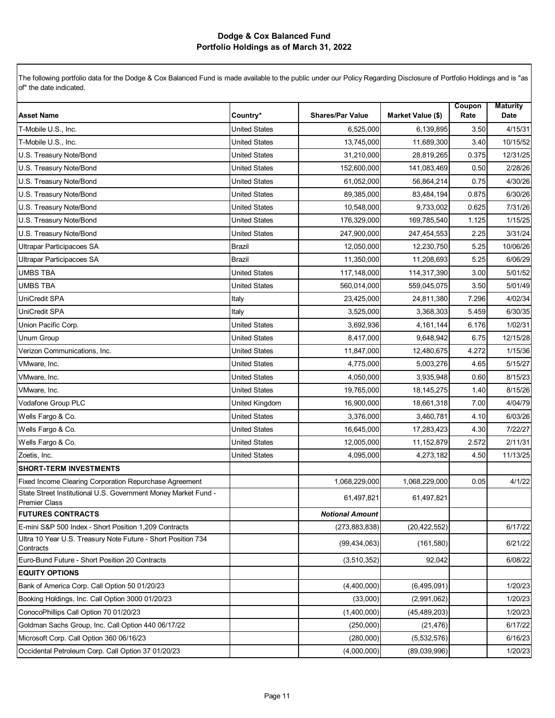| <b>Asset Name</b>                                                                      | Country*             | <b>Shares/Par Value</b> | Market Value (\$) | Coupon<br>Rate | <b>Maturity</b><br>Date |
|----------------------------------------------------------------------------------------|----------------------|-------------------------|-------------------|----------------|-------------------------|
| T-Mobile U.S., Inc.                                                                    | <b>United States</b> | 6,525,000               | 6,139,895         | 3.50           | 4/15/31                 |
| T-Mobile U.S., Inc.                                                                    | United States        | 13,745,000              | 11,689,300        | 3.40           | 10/15/52                |
| U.S. Treasury Note/Bond                                                                | <b>United States</b> | 31,210,000              | 28,819,265        | 0.375          | 12/31/25                |
| U.S. Treasury Note/Bond                                                                | <b>United States</b> | 152,600,000             | 141,083,469       | 0.50           | 2/28/26                 |
| U.S. Treasury Note/Bond                                                                | <b>United States</b> | 61,052,000              | 56,864,214        | 0.75           | 4/30/26                 |
| U.S. Treasury Note/Bond                                                                | <b>United States</b> | 89,385,000              | 83,484,194        | 0.875          | 6/30/26                 |
|                                                                                        |                      |                         |                   |                |                         |
| U.S. Treasury Note/Bond                                                                | United States        | 10,548,000              | 9,733,002         | 0.625          | 7/31/26                 |
| U.S. Treasury Note/Bond                                                                | <b>United States</b> | 176,329,000             | 169,785,540       | 1.125          | 1/15/25                 |
| U.S. Treasury Note/Bond                                                                | United States        | 247,900,000             | 247,454,553       | 2.25           | 3/31/24                 |
| <b>Ultrapar Participacoes SA</b>                                                       | Brazil               | 12,050,000              | 12,230,750        | 5.25           | 10/06/26                |
| <b>Ultrapar Participacoes SA</b>                                                       | <b>Brazil</b>        | 11,350,000              | 11,208,693        | 5.25           | 6/06/29                 |
| <b>UMBS TBA</b>                                                                        | <b>United States</b> | 117,148,000             | 114,317,390       | 3.00           | 5/01/52                 |
| <b>UMBS TBA</b>                                                                        | <b>United States</b> | 560,014,000             | 559,045,075       | 3.50           | 5/01/49                 |
| UniCredit SPA                                                                          | Italy                | 23,425,000              | 24,811,380        | 7.296          | 4/02/34                 |
| <b>UniCredit SPA</b>                                                                   | Italy                | 3,525,000               | 3,368,303         | 5.459          | 6/30/35                 |
| Union Pacific Corp.                                                                    | <b>United States</b> | 3,692,936               | 4,161,144         | 6.176          | 1/02/31                 |
| Unum Group                                                                             | United States        | 8,417,000               | 9,648,942         | 6.75           | 12/15/28                |
| Verizon Communications, Inc.                                                           | <b>United States</b> | 11,847,000              | 12,480,675        | 4.272          | 1/15/36                 |
| VMware, Inc.                                                                           | United States        | 4,775,000               | 5,003,276         | 4.65           | 5/15/27                 |
| VMware, Inc.                                                                           | <b>United States</b> | 4,050,000               | 3,935,948         | 0.60           | 8/15/23                 |
| VMware, Inc.                                                                           | <b>United States</b> | 19,765,000              | 18, 145, 275      | 1.40           | 8/15/26                 |
| Vodafone Group PLC                                                                     | United Kingdom       | 16,900,000              | 18,661,318        | 7.00           | 4/04/79                 |
| Wells Fargo & Co.                                                                      | <b>United States</b> | 3,376,000               | 3,460,781         | 4.10           | 6/03/26                 |
| Wells Fargo & Co.                                                                      | <b>United States</b> | 16,645,000              | 17,283,423        | 4.30           | 7/22/27                 |
| Wells Fargo & Co.                                                                      | <b>United States</b> | 12,005,000              | 11,152,879        | 2.572          | 2/11/31                 |
| Zoetis, Inc.                                                                           | <b>United States</b> | 4,095,000               | 4,273,182         | 4.50           | 11/13/25                |
| <b>SHORT-TERM INVESTMENTS</b>                                                          |                      |                         |                   |                |                         |
| Fixed Income Clearing Corporation Repurchase Agreement                                 |                      | 1,068,229,000           | 1,068,229,000     | 0.05           | 4/1/22                  |
| State Street Institutional U.S. Government Money Market Fund -<br><b>Premier Class</b> |                      | 61,497,821              | 61,497,821        |                |                         |
| <b>FUTURES CONTRACTS</b>                                                               |                      | <b>Notional Amount</b>  |                   |                |                         |
| E-mini S&P 500 Index - Short Position 1,209 Contracts                                  |                      | (273, 883, 838)         | (20, 422, 552)    |                | 6/17/22                 |
| Ultra 10 Year U.S. Treasury Note Future - Short Position 734<br>Contracts              |                      | (99, 434, 063)          | (161, 580)        |                | 6/21/22                 |
| Euro-Bund Future - Short Position 20 Contracts                                         |                      | (3,510,352)             | 92,042            |                | 6/08/22                 |
| <b>EQUITY OPTIONS</b>                                                                  |                      |                         |                   |                |                         |
| Bank of America Corp. Call Option 50 01/20/23                                          |                      | (4,400,000)             | (6,495,091)       |                | 1/20/23                 |
| Booking Holdings, Inc. Call Option 3000 01/20/23                                       |                      | (33,000)                | (2,991,062)       |                | 1/20/23                 |
| ConocoPhillips Call Option 70 01/20/23                                                 |                      | (1,400,000)             | (45, 489, 203)    |                | 1/20/23                 |
| Goldman Sachs Group, Inc. Call Option 440 06/17/22                                     |                      | (250,000)               | (21, 476)         |                | 6/17/22                 |
| Microsoft Corp. Call Option 360 06/16/23                                               |                      | (280,000)               | (5,532,576)       |                | 6/16/23                 |
| Occidental Petroleum Corp. Call Option 37 01/20/23                                     |                      | (4,000,000)             | (89,039,996)      |                | 1/20/23                 |